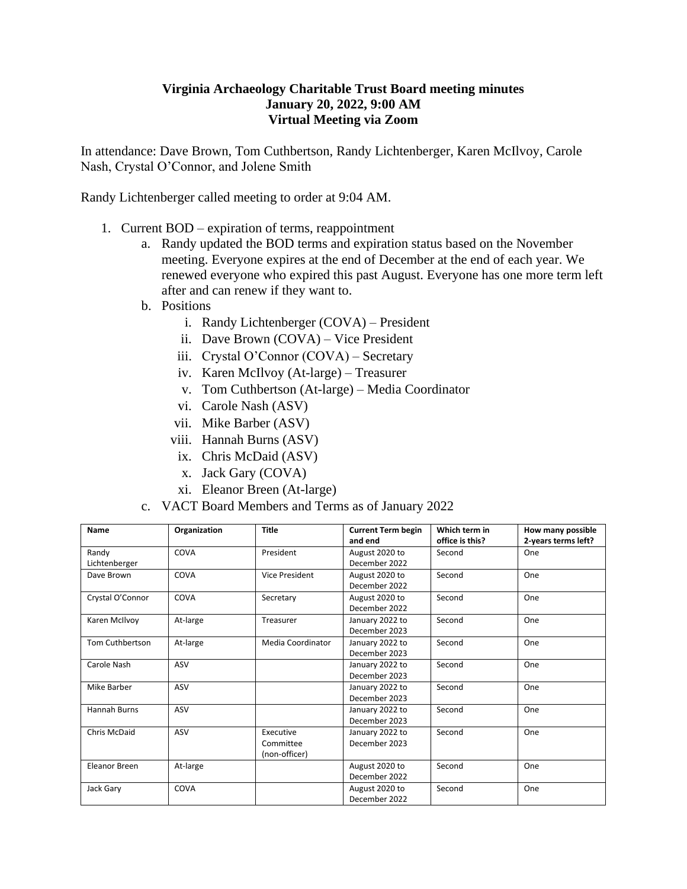## **Virginia Archaeology Charitable Trust Board meeting minutes January 20, 2022, 9:00 AM Virtual Meeting via Zoom**

In attendance: Dave Brown, Tom Cuthbertson, Randy Lichtenberger, Karen McIlvoy, Carole Nash, Crystal O'Connor, and Jolene Smith

Randy Lichtenberger called meeting to order at 9:04 AM.

- 1. Current BOD expiration of terms, reappointment
	- a. Randy updated the BOD terms and expiration status based on the November meeting. Everyone expires at the end of December at the end of each year. We renewed everyone who expired this past August. Everyone has one more term left after and can renew if they want to.
	- b. Positions
		- i. Randy Lichtenberger (COVA) President
		- ii. Dave Brown (COVA) Vice President
		- iii. Crystal O'Connor (COVA) Secretary
		- iv. Karen McIlvoy (At-large) Treasurer
		- v. Tom Cuthbertson (At-large) Media Coordinator
		- vi. Carole Nash (ASV)
		- vii. Mike Barber (ASV)
		- viii. Hannah Burns (ASV)
		- ix. Chris McDaid (ASV)
		- x. Jack Gary (COVA)
		- xi. Eleanor Breen (At-large)
	- c. VACT Board Members and Terms as of January 2022

| Name             | Organization | <b>Title</b>          | <b>Current Term begin</b> | Which term in   | How many possible   |
|------------------|--------------|-----------------------|---------------------------|-----------------|---------------------|
|                  |              |                       | and end                   | office is this? | 2-years terms left? |
| Randy            | COVA         | President             | August 2020 to            | Second          | One                 |
| Lichtenberger    |              |                       | December 2022             |                 |                     |
| Dave Brown       | COVA         | <b>Vice President</b> | August 2020 to            | Second          | One                 |
|                  |              |                       | December 2022             |                 |                     |
| Crystal O'Connor | COVA         | Secretary             | August 2020 to            | Second          | One                 |
|                  |              |                       | December 2022             |                 |                     |
| Karen McIlvoy    | At-large     | Treasurer             | January 2022 to           | Second          | One                 |
|                  |              |                       | December 2023             |                 |                     |
| Tom Cuthbertson  | At-large     | Media Coordinator     | January 2022 to           | Second          | One                 |
|                  |              |                       | December 2023             |                 |                     |
| Carole Nash      | ASV          |                       | January 2022 to           | Second          | One                 |
|                  |              |                       | December 2023             |                 |                     |
| Mike Barber      | ASV          |                       | January 2022 to           | Second          | One                 |
|                  |              |                       | December 2023             |                 |                     |
| Hannah Burns     | ASV          |                       | January 2022 to           | Second          | One                 |
|                  |              |                       | December 2023             |                 |                     |
| Chris McDaid     | ASV          | Executive             | January 2022 to           | Second          | One                 |
|                  |              | Committee             | December 2023             |                 |                     |
|                  |              | (non-officer)         |                           |                 |                     |
| Eleanor Breen    | At-large     |                       | August 2020 to            | Second          | One                 |
|                  |              |                       | December 2022             |                 |                     |
| Jack Gary        | COVA         |                       | August 2020 to            | Second          | One                 |
|                  |              |                       | December 2022             |                 |                     |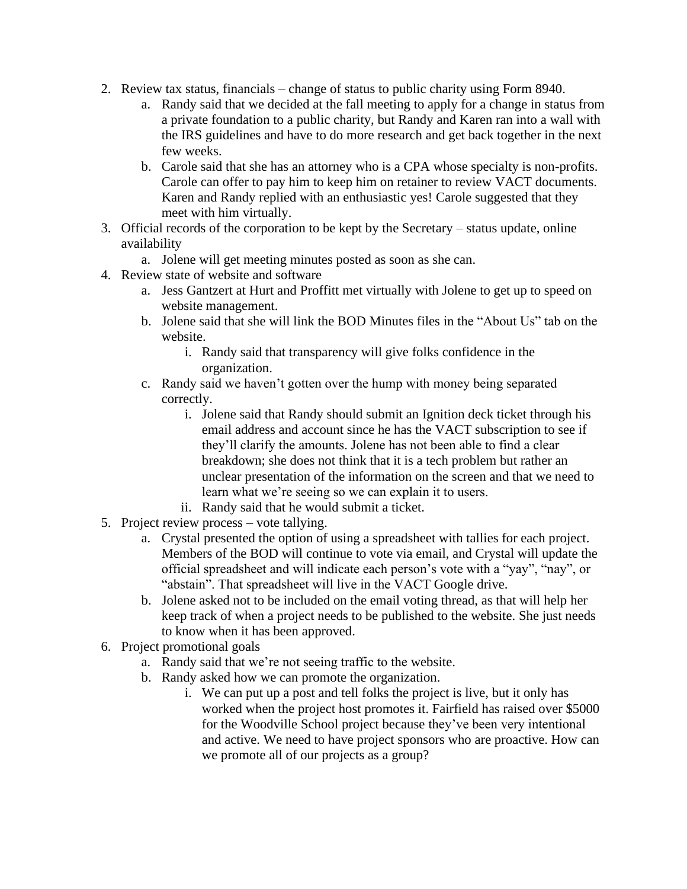- 2. Review tax status, financials change of status to public charity using Form 8940.
	- a. Randy said that we decided at the fall meeting to apply for a change in status from a private foundation to a public charity, but Randy and Karen ran into a wall with the IRS guidelines and have to do more research and get back together in the next few weeks.
	- b. Carole said that she has an attorney who is a CPA whose specialty is non-profits. Carole can offer to pay him to keep him on retainer to review VACT documents. Karen and Randy replied with an enthusiastic yes! Carole suggested that they meet with him virtually.
- 3. Official records of the corporation to be kept by the Secretary status update, online availability
	- a. Jolene will get meeting minutes posted as soon as she can.
- 4. Review state of website and software
	- a. Jess Gantzert at Hurt and Proffitt met virtually with Jolene to get up to speed on website management.
	- b. Jolene said that she will link the BOD Minutes files in the "About Us" tab on the website.
		- i. Randy said that transparency will give folks confidence in the organization.
	- c. Randy said we haven't gotten over the hump with money being separated correctly.
		- i. Jolene said that Randy should submit an Ignition deck ticket through his email address and account since he has the VACT subscription to see if they'll clarify the amounts. Jolene has not been able to find a clear breakdown; she does not think that it is a tech problem but rather an unclear presentation of the information on the screen and that we need to learn what we're seeing so we can explain it to users.
		- ii. Randy said that he would submit a ticket.
- 5. Project review process vote tallying.
	- a. Crystal presented the option of using a spreadsheet with tallies for each project. Members of the BOD will continue to vote via email, and Crystal will update the official spreadsheet and will indicate each person's vote with a "yay", "nay", or "abstain". That spreadsheet will live in the VACT Google drive.
	- b. Jolene asked not to be included on the email voting thread, as that will help her keep track of when a project needs to be published to the website. She just needs to know when it has been approved.
- 6. Project promotional goals
	- a. Randy said that we're not seeing traffic to the website.
	- b. Randy asked how we can promote the organization.
		- i. We can put up a post and tell folks the project is live, but it only has worked when the project host promotes it. Fairfield has raised over \$5000 for the Woodville School project because they've been very intentional and active. We need to have project sponsors who are proactive. How can we promote all of our projects as a group?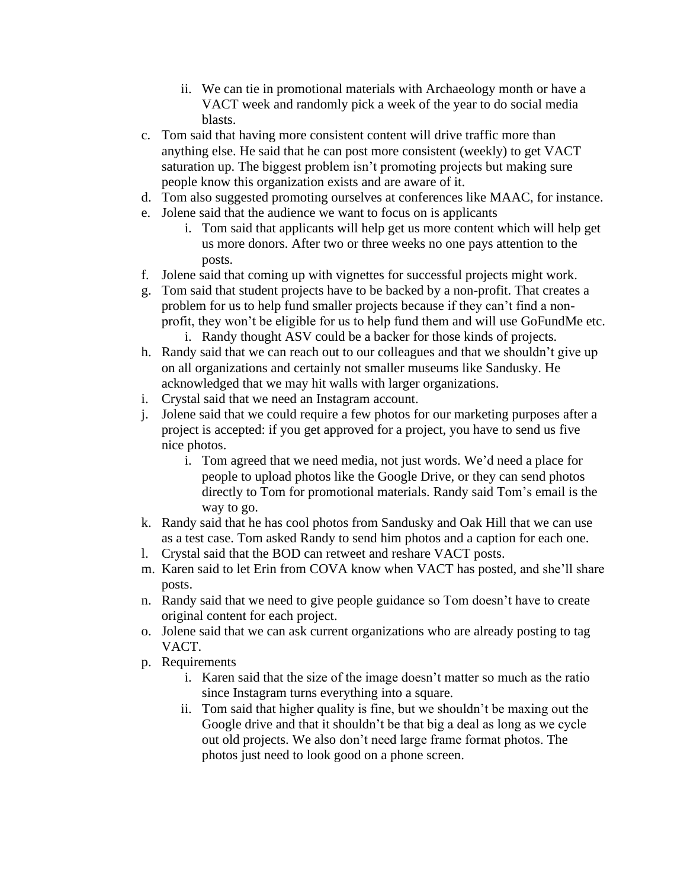- ii. We can tie in promotional materials with Archaeology month or have a VACT week and randomly pick a week of the year to do social media blasts.
- c. Tom said that having more consistent content will drive traffic more than anything else. He said that he can post more consistent (weekly) to get VACT saturation up. The biggest problem isn't promoting projects but making sure people know this organization exists and are aware of it.
- d. Tom also suggested promoting ourselves at conferences like MAAC, for instance.
- e. Jolene said that the audience we want to focus on is applicants
	- i. Tom said that applicants will help get us more content which will help get us more donors. After two or three weeks no one pays attention to the posts.
- f. Jolene said that coming up with vignettes for successful projects might work.
- g. Tom said that student projects have to be backed by a non-profit. That creates a problem for us to help fund smaller projects because if they can't find a nonprofit, they won't be eligible for us to help fund them and will use GoFundMe etc.
	- i. Randy thought ASV could be a backer for those kinds of projects.
- h. Randy said that we can reach out to our colleagues and that we shouldn't give up on all organizations and certainly not smaller museums like Sandusky. He acknowledged that we may hit walls with larger organizations.
- i. Crystal said that we need an Instagram account.
- j. Jolene said that we could require a few photos for our marketing purposes after a project is accepted: if you get approved for a project, you have to send us five nice photos.
	- i. Tom agreed that we need media, not just words. We'd need a place for people to upload photos like the Google Drive, or they can send photos directly to Tom for promotional materials. Randy said Tom's email is the way to go.
- k. Randy said that he has cool photos from Sandusky and Oak Hill that we can use as a test case. Tom asked Randy to send him photos and a caption for each one.
- l. Crystal said that the BOD can retweet and reshare VACT posts.
- m. Karen said to let Erin from COVA know when VACT has posted, and she'll share posts.
- n. Randy said that we need to give people guidance so Tom doesn't have to create original content for each project.
- o. Jolene said that we can ask current organizations who are already posting to tag VACT.
- p. Requirements
	- i. Karen said that the size of the image doesn't matter so much as the ratio since Instagram turns everything into a square.
	- ii. Tom said that higher quality is fine, but we shouldn't be maxing out the Google drive and that it shouldn't be that big a deal as long as we cycle out old projects. We also don't need large frame format photos. The photos just need to look good on a phone screen.